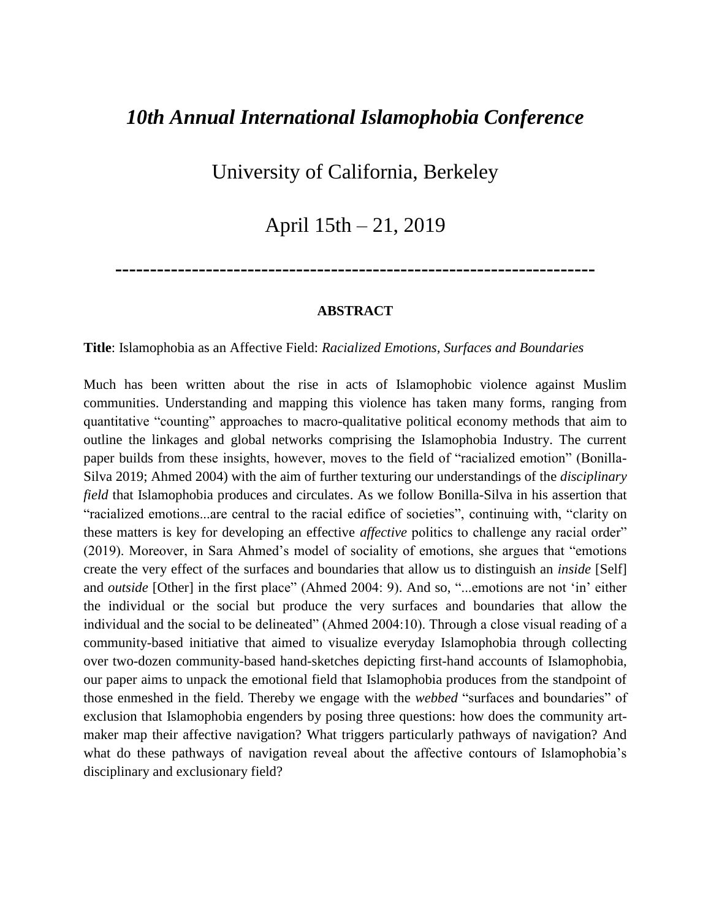# *10th Annual International Islamophobia Conference*

## University of California, Berkeley

### April 15th – 21, 2019

**---------------------------------------------------------------------**

### **ABSTRACT**

**Title**: Islamophobia as an Affective Field: *Racialized Emotions, Surfaces and Boundaries*

Much has been written about the rise in acts of Islamophobic violence against Muslim communities. Understanding and mapping this violence has taken many forms, ranging from quantitative "counting" approaches to macro-qualitative political economy methods that aim to outline the linkages and global networks comprising the Islamophobia Industry. The current paper builds from these insights, however, moves to the field of "racialized emotion" (Bonilla-Silva 2019; Ahmed 2004) with the aim of further texturing our understandings of the *disciplinary field* that Islamophobia produces and circulates. As we follow Bonilla-Silva in his assertion that "racialized emotions...are central to the racial edifice of societies", continuing with, "clarity on these matters is key for developing an effective *affective* politics to challenge any racial order" (2019). Moreover, in Sara Ahmed's model of sociality of emotions, she argues that "emotions create the very effect of the surfaces and boundaries that allow us to distinguish an *inside* [Self] and *outside* [Other] in the first place" (Ahmed 2004: 9). And so, "...emotions are not 'in' either the individual or the social but produce the very surfaces and boundaries that allow the individual and the social to be delineated" (Ahmed 2004:10). Through a close visual reading of a community-based initiative that aimed to visualize everyday Islamophobia through collecting over two-dozen community-based hand-sketches depicting first-hand accounts of Islamophobia, our paper aims to unpack the emotional field that Islamophobia produces from the standpoint of those enmeshed in the field. Thereby we engage with the *webbed* "surfaces and boundaries" of exclusion that Islamophobia engenders by posing three questions: how does the community artmaker map their affective navigation? What triggers particularly pathways of navigation? And what do these pathways of navigation reveal about the affective contours of Islamophobia's disciplinary and exclusionary field?